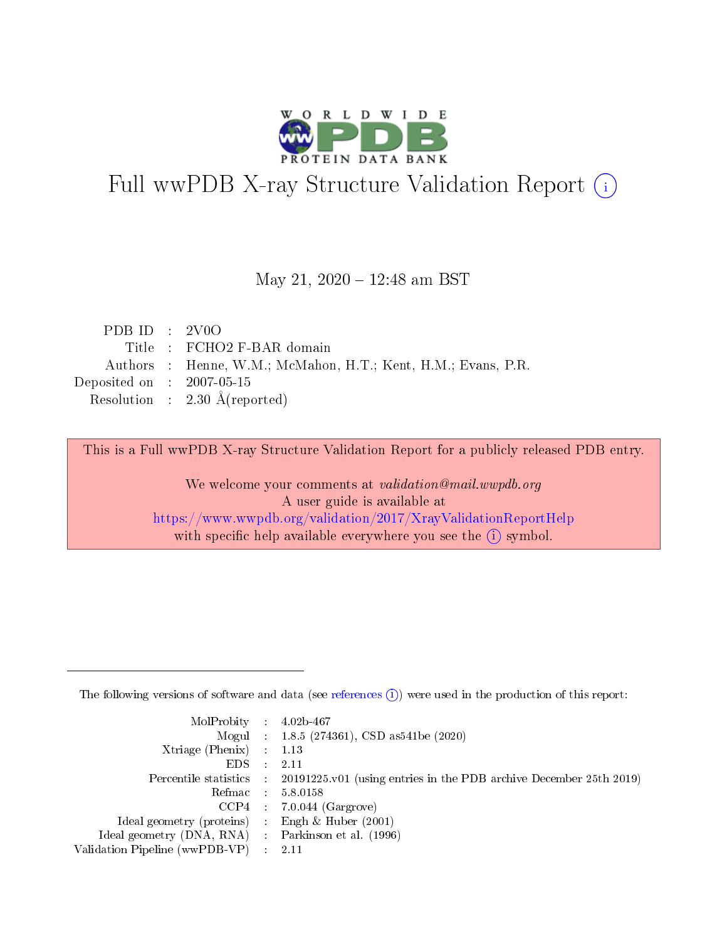

# Full wwPDB X-ray Structure Validation Report (i)

#### May 21, 2020 - 12:48 am BST

| PDB ID : $2\text{VOO}$      |                                                               |
|-----------------------------|---------------------------------------------------------------|
|                             | Title: FCHO2 F-BAR domain                                     |
|                             | Authors : Henne, W.M.; McMahon, H.T.; Kent, H.M.; Evans, P.R. |
| Deposited on : $2007-05-15$ |                                                               |
|                             | Resolution : $2.30 \text{ Å}$ (reported)                      |
|                             |                                                               |

This is a Full wwPDB X-ray Structure Validation Report for a publicly released PDB entry.

We welcome your comments at validation@mail.wwpdb.org A user guide is available at <https://www.wwpdb.org/validation/2017/XrayValidationReportHelp> with specific help available everywhere you see the  $(i)$  symbol.

The following versions of software and data (see [references](https://www.wwpdb.org/validation/2017/XrayValidationReportHelp#references)  $(1)$ ) were used in the production of this report:

| $MolProbability$ : 4.02b-467                        |                                                                                            |
|-----------------------------------------------------|--------------------------------------------------------------------------------------------|
|                                                     | Mogul : 1.8.5 (274361), CSD as 541be (2020)                                                |
| Xtriage (Phenix) $: 1.13$                           |                                                                                            |
| EDS :                                               | -2.11                                                                                      |
|                                                     | Percentile statistics : 20191225.v01 (using entries in the PDB archive December 25th 2019) |
| Refmac 58.0158                                      |                                                                                            |
|                                                     | $CCP4$ 7.0.044 (Gargrove)                                                                  |
| Ideal geometry (proteins) : Engh $\&$ Huber (2001)  |                                                                                            |
| Ideal geometry (DNA, RNA) : Parkinson et al. (1996) |                                                                                            |
| Validation Pipeline (wwPDB-VP) : 2.11               |                                                                                            |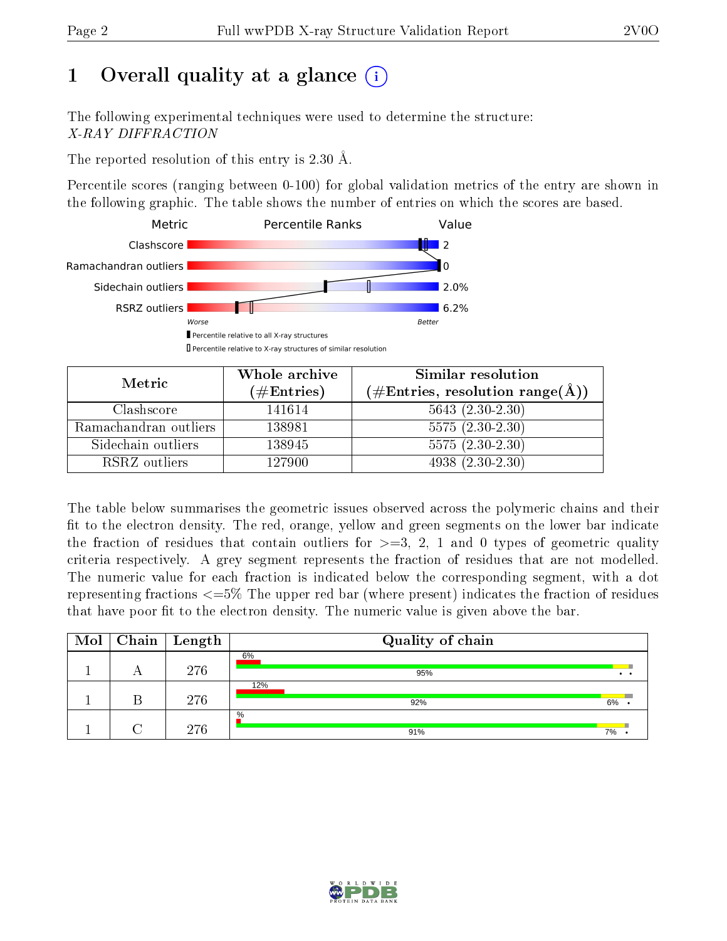# 1 [O](https://www.wwpdb.org/validation/2017/XrayValidationReportHelp#overall_quality)verall quality at a glance  $(i)$

The following experimental techniques were used to determine the structure: X-RAY DIFFRACTION

The reported resolution of this entry is 2.30 Å.

Percentile scores (ranging between 0-100) for global validation metrics of the entry are shown in the following graphic. The table shows the number of entries on which the scores are based.



| Metric                | Whole archive<br>$(\#\text{Entries})$ | Similar resolution<br>$(\#\text{Entries}, \text{resolution range}(\text{\AA}))$ |
|-----------------------|---------------------------------------|---------------------------------------------------------------------------------|
| Clashscore            | 141614                                | $5643(2.30-2.30)$                                                               |
| Ramachandran outliers | 138981                                | $5575(2.30-2.30)$                                                               |
| Sidechain outliers    | 138945                                | $5575(2.30-2.30)$                                                               |
| RSRZ outliers         | 127900                                | $4938(2.30-2.30)$                                                               |

The table below summarises the geometric issues observed across the polymeric chains and their fit to the electron density. The red, orange, yellow and green segments on the lower bar indicate the fraction of residues that contain outliers for  $\geq=3$ , 2, 1 and 0 types of geometric quality criteria respectively. A grey segment represents the fraction of residues that are not modelled. The numeric value for each fraction is indicated below the corresponding segment, with a dot representing fractions  $\epsilon = 5\%$  The upper red bar (where present) indicates the fraction of residues that have poor fit to the electron density. The numeric value is given above the bar.

| Mol | $\sqrt{\phantom{a}}$ Chain $\sqrt{\phantom{a}}$ Length | Quality of chain |    |
|-----|--------------------------------------------------------|------------------|----|
|     | 276                                                    | 6%<br>95%        |    |
|     | 276                                                    | 12%<br>92%       | 6% |
|     | 276                                                    | $\%$<br>91%      | 7% |

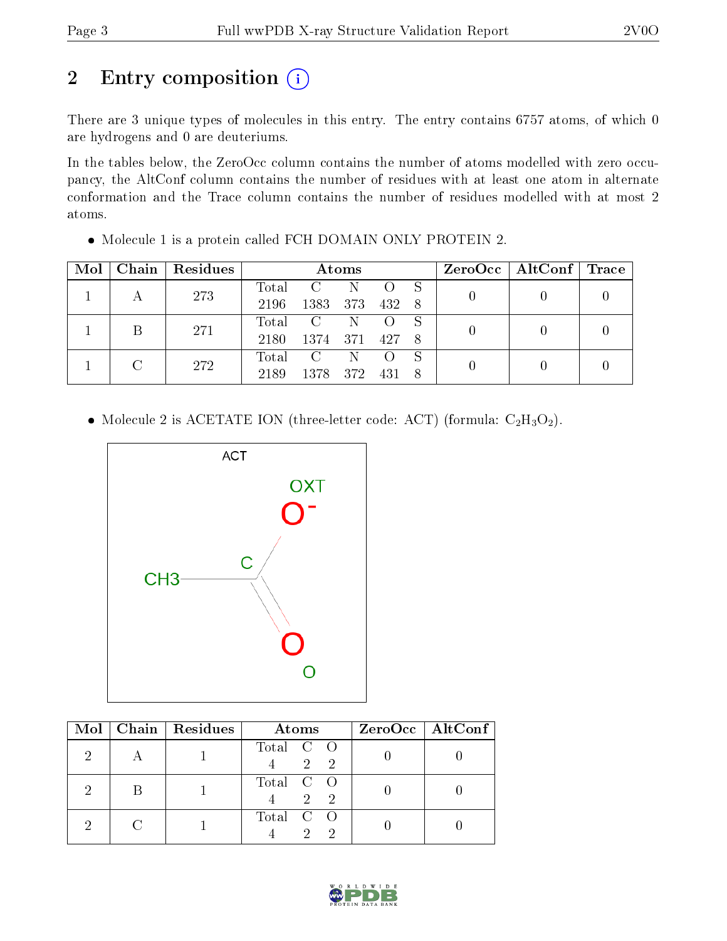# 2 Entry composition (i)

There are 3 unique types of molecules in this entry. The entry contains 6757 atoms, of which 0 are hydrogens and 0 are deuteriums.

In the tables below, the ZeroOcc column contains the number of atoms modelled with zero occupancy, the AltConf column contains the number of residues with at least one atom in alternate conformation and the Trace column contains the number of residues modelled with at most 2 atoms.

| Mol | Chain | Residues |       |                | Atoms |       | $\rm ZeroOcc \mid AltConf \mid Trace \mid$ |  |  |
|-----|-------|----------|-------|----------------|-------|-------|--------------------------------------------|--|--|
|     |       | 273      | Total |                |       |       |                                            |  |  |
|     |       |          | 2196  | 1383           | 373   | 432 8 |                                            |  |  |
|     |       | 271      | Total | $\overline{C}$ | -N    |       |                                            |  |  |
|     |       |          | 2180  | 1374           | 371   | 427   | 8                                          |  |  |
|     |       | 272      | Total | $\mathbf{C}$   | N     |       | S                                          |  |  |
|     |       | 2189     | 1378  | -372           | 431   | 8     |                                            |  |  |

Molecule 1 is a protein called FCH DOMAIN ONLY PROTEIN 2.

• Molecule 2 is ACETATE ION (three-letter code: ACT) (formula:  $C_2H_3O_2$ ).



|  | Mol   Chain   Residues | Atoms                           | ZeroOcc   AltConf |
|--|------------------------|---------------------------------|-------------------|
|  |                        | Total C O<br>2 2                |                   |
|  |                        | Total C O<br>2 2                |                   |
|  |                        | Total C O<br>$\mathcal{D}$<br>2 |                   |

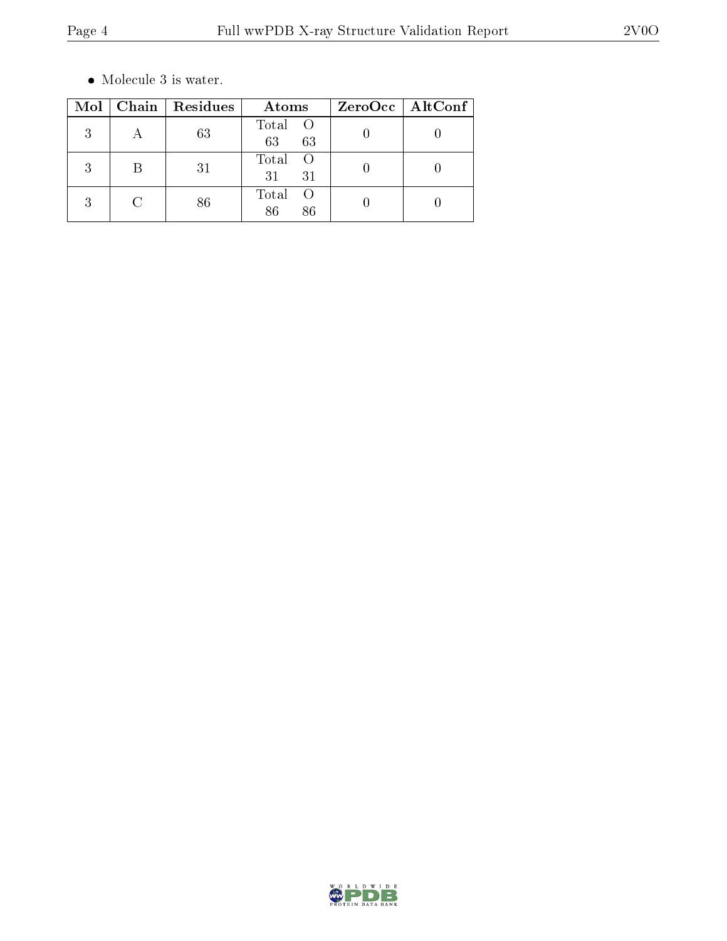$\bullet\,$  Molecule 3 is water.

| Mol | Chain | Residues | Atoms                                 | $ZeroOcc$   AltConf |
|-----|-------|----------|---------------------------------------|---------------------|
| 3   |       | 63       | Total O<br>63<br>63                   |                     |
| 3   | В     | 31       | Total<br>- 0<br>31<br>31              |                     |
| 3   |       | 86       | Total<br>$\left( \right)$<br>86<br>86 |                     |

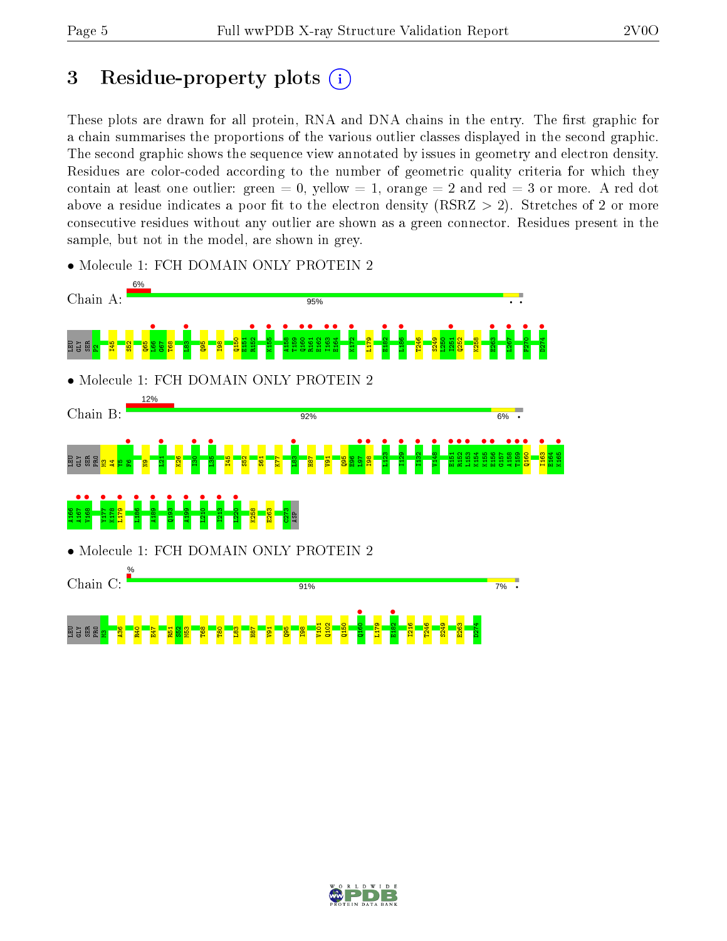## 3 Residue-property plots  $(i)$

These plots are drawn for all protein, RNA and DNA chains in the entry. The first graphic for a chain summarises the proportions of the various outlier classes displayed in the second graphic. The second graphic shows the sequence view annotated by issues in geometry and electron density. Residues are color-coded according to the number of geometric quality criteria for which they contain at least one outlier: green  $= 0$ , yellow  $= 1$ , orange  $= 2$  and red  $= 3$  or more. A red dot above a residue indicates a poor fit to the electron density (RSRZ  $> 2$ ). Stretches of 2 or more consecutive residues without any outlier are shown as a green connector. Residues present in the sample, but not in the model, are shown in grey.



• Molecule 1: FCH DOMAIN ONLY PROTEIN 2

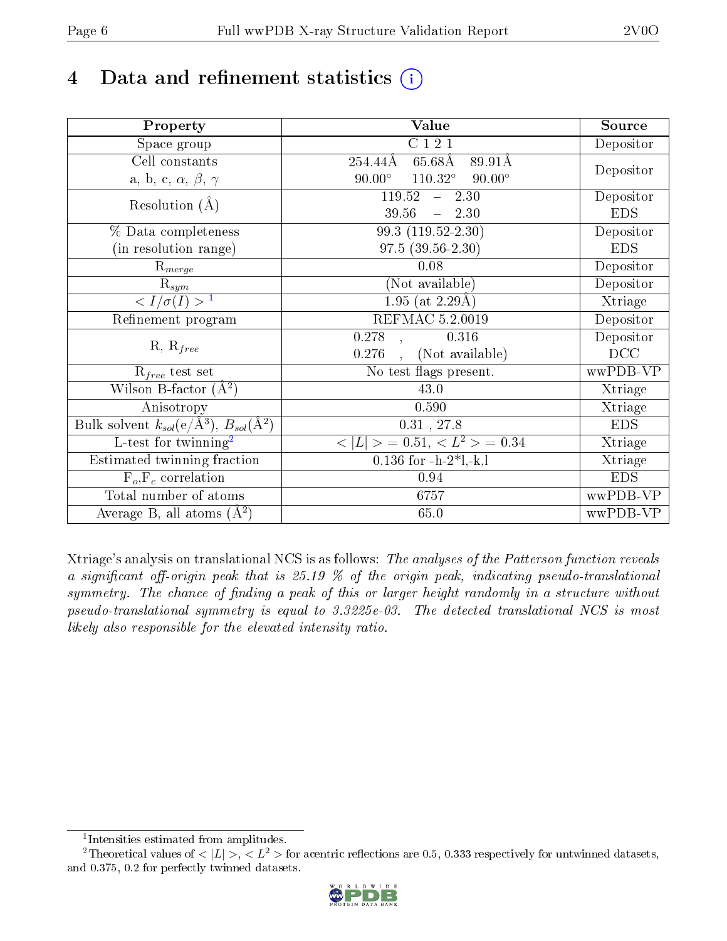# 4 Data and refinement statistics  $(i)$

| Property                                                         | Value                                              | Source     |
|------------------------------------------------------------------|----------------------------------------------------|------------|
| Space group                                                      | C121                                               | Depositor  |
| Cell constants                                                   | $65.68\text{\AA}$<br>89.91Å<br>254.44Å             |            |
| a, b, c, $\alpha$ , $\beta$ , $\gamma$                           | $90.00^\circ$<br>$110.32^{\circ}$<br>$90.00^\circ$ | Depositor  |
| Resolution $(A)$                                                 | 119.52<br>$-2.30$                                  | Depositor  |
|                                                                  | 39.56<br>$-2.30$                                   | <b>EDS</b> |
| % Data completeness                                              | 99.3 (119.52-2.30)                                 | Depositor  |
| (in resolution range)                                            | $97.5(39.56-2.30)$                                 | <b>EDS</b> |
| $\mathrm{R}_{merge}$                                             | 0.08                                               | Depositor  |
| $\mathrm{R}_{sym}$                                               | (Not available)                                    | Depositor  |
| $\langle I/\sigma(I) \rangle^{-1}$                               | $\overline{1.95}$ (at 2.29Å)                       | Xtriage    |
| Refinement program                                               | REFMAC 5.2.0019                                    | Depositor  |
|                                                                  | 0.278<br>0.316                                     | Depositor  |
| $R, R_{free}$                                                    | (Not available)<br>0.276                           | DCC        |
| $R_{free}$ test set                                              | No test flags present.                             | wwPDB-VP   |
| Wilson B-factor $(A^2)$                                          | 43.0                                               | Xtriage    |
| Anisotropy                                                       | 0.590                                              | Xtriage    |
| Bulk solvent $k_{sol}(\text{e}/\text{A}^3), B_{sol}(\text{A}^2)$ | $0.31$ , 27.8                                      | <b>EDS</b> |
| $\overline{L-test for }$ twinning <sup>2</sup>                   | $\vert > \; = 0.51, < L^2 > \; = 0.34$<br>< L      | Xtriage    |
| Estimated twinning fraction                                      | $0.136$ for $-h-2*1,-k,l$                          | Xtriage    |
| $F_o, F_c$ correlation                                           | 0.94                                               | <b>EDS</b> |
| Total number of atoms                                            | 6757                                               | wwPDB-VP   |
| Average B, all atoms $(A^2)$                                     | 65.0                                               | wwPDB-VP   |

Xtriage's analysis on translational NCS is as follows: The analyses of the Patterson function reveals a significant off-origin peak that is 25.19  $\%$  of the origin peak, indicating pseudo-translational symmetry. The chance of finding a peak of this or larger height randomly in a structure without pseudo-translational symmetry is equal to 3.3225e-03. The detected translational NCS is most likely also responsible for the elevated intensity ratio.

<sup>&</sup>lt;sup>2</sup>Theoretical values of  $\langle |L| \rangle$ ,  $\langle L^2 \rangle$  for acentric reflections are 0.5, 0.333 respectively for untwinned datasets, and 0.375, 0.2 for perfectly twinned datasets.



<span id="page-5-1"></span><span id="page-5-0"></span><sup>1</sup> Intensities estimated from amplitudes.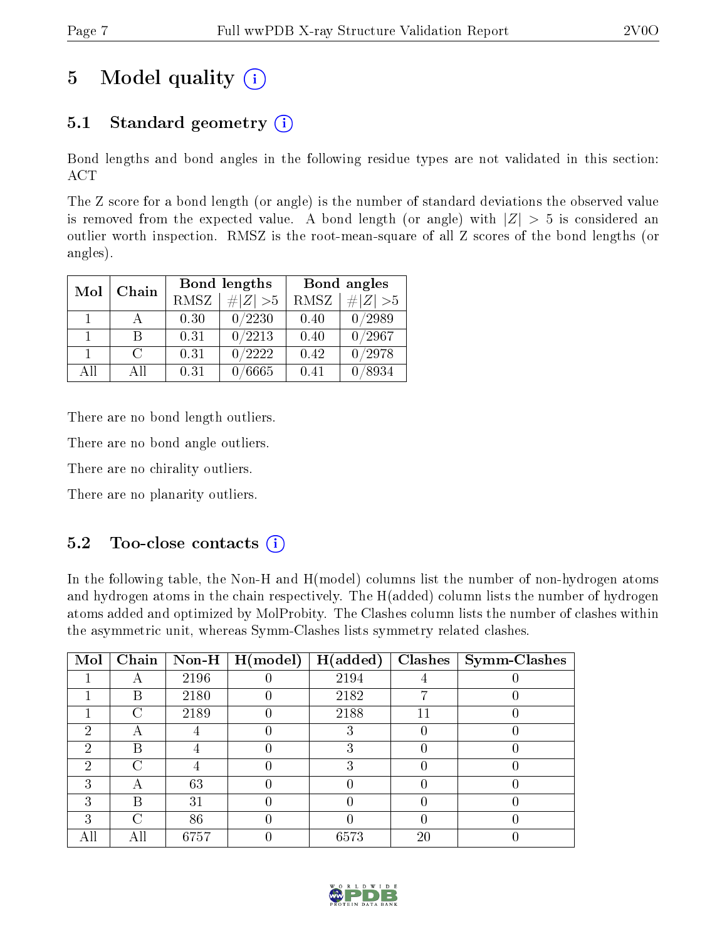## 5 Model quality  $(i)$

### 5.1 Standard geometry  $(i)$

Bond lengths and bond angles in the following residue types are not validated in this section: ACT

The Z score for a bond length (or angle) is the number of standard deviations the observed value is removed from the expected value. A bond length (or angle) with  $|Z| > 5$  is considered an outlier worth inspection. RMSZ is the root-mean-square of all Z scores of the bond lengths (or angles).

| Chain<br>Mol |        |                                             | Bond lengths |      | Bond angles      |
|--------------|--------|---------------------------------------------|--------------|------|------------------|
|              |        | <b>RMSZ</b><br>$\vert \# \vert Z \vert > 5$ |              | RMSZ | # $ Z  > 5$      |
| 1.           |        | 0.30                                        | 0/2230       | 0.40 | 0/2989           |
| 1.           | R      | 0.31                                        | 0/2213       | 0.40 | $\frac{0}{2967}$ |
|              | $\cap$ | 0.31                                        | 0/2222       | 0.42 | 0/2978           |
| All          | ΑĦ     | 0.31                                        | 6665         | 0.41 | 8934             |

There are no bond length outliers.

There are no bond angle outliers.

There are no chirality outliers.

There are no planarity outliers.

### 5.2 Too-close contacts  $(i)$

In the following table, the Non-H and H(model) columns list the number of non-hydrogen atoms and hydrogen atoms in the chain respectively. The H(added) column lists the number of hydrogen atoms added and optimized by MolProbity. The Clashes column lists the number of clashes within the asymmetric unit, whereas Symm-Clashes lists symmetry related clashes.

| Mol | Chain |      | $\mid$ Non-H $\mid$ H(model) | H(added) | Clashes | $\vert$ Symm-Clashes |
|-----|-------|------|------------------------------|----------|---------|----------------------|
|     |       | 2196 |                              | 2194     |         |                      |
|     | B     | 2180 |                              | 2182     |         |                      |
|     | ⊖     | 2189 |                              | 2188     |         |                      |
| ച   |       |      |                              | 3        |         |                      |
| 9   | В     |      |                              | 3        |         |                      |
| ച   | ( )   |      |                              | З        |         |                      |
| 3   |       | 63   |                              |          |         |                      |
| ച   | B     | 31   |                              |          |         |                      |
|     | U.    | 86   |                              |          |         |                      |
|     | AШ    | 6757 |                              | 6573     | 20      |                      |

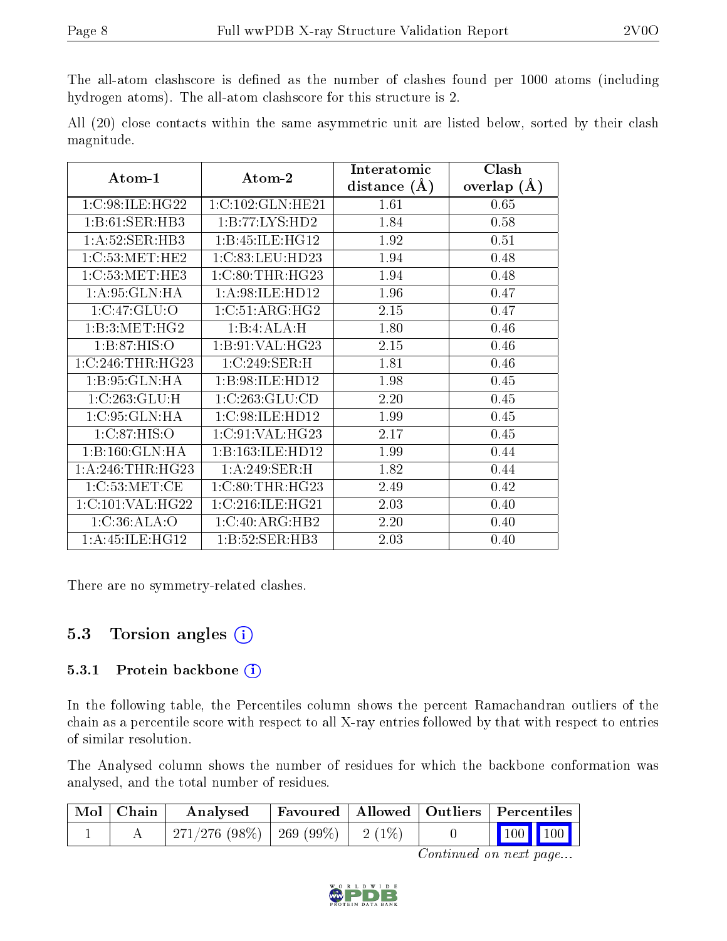The all-atom clashscore is defined as the number of clashes found per 1000 atoms (including hydrogen atoms). The all-atom clashscore for this structure is 2.

|            |  |  | All (20) close contacts within the same asymmetric unit are listed below, sorted by their clash |  |  |  |  |
|------------|--|--|-------------------------------------------------------------------------------------------------|--|--|--|--|
| magnitude. |  |  |                                                                                                 |  |  |  |  |

| Atom-1                | Atom-2             | Interatomic    | Clash         |
|-----------------------|--------------------|----------------|---------------|
|                       |                    | distance $(A)$ | overlap $(A)$ |
| 1:C:98:ILE:HG22       | 1:C:102:GLN:HE21   | 1.61           | 0.65          |
| 1:B:61:SER:HB3        | 1:B:77:LYS:HD2     | 1.84           | 0.58          |
| 1: A:52: SER:HB3      | 1:B:45:ILE:HG12    | 1.92           | 0.51          |
| 1:C:53:MET:HE2        | 1:C:83:LEU:HD23    | 1.94           | 0.48          |
| 1:C:53:MET:HE3        | 1:C:80:THR:HG23    | 1.94           | 0.48          |
| 1: A:95: GLN: HA      | 1: A:98: ILE: HD12 | 1.96           | 0.47          |
| 1:C:47:GLU:O          | 1:C:51:ARG:HG2     | 2.15           | 0.47          |
| 1:B:3:MET:HG2         | 1:B:4:ALA:H        | 1.80           | 0.46          |
| 1:B:87:HIS:O          | 1:B:91:VAL:HG23    | 2.15           | 0.46          |
| $1:C:246$ : THR: HG23 | 1:C:249:SER:H      | 1.81           | 0.46          |
| 1:B:95:GLN:HA         | 1:B:98:ILE:HD12    | 1.98           | 0.45          |
| 1:C:263:GLU:H         | 1:C:263:GLU:CD     | 2.20           | 0.45          |
| 1:C:95:GLN:HA         | 1:C:98:ILE:HD12    | 1.99           | 0.45          |
| 1:C:87:HIS:O          | 1:C:91:VAL:HG23    | 2.17           | 0.45          |
| 1:B:160:GLN:HA        | 1:B:163:ILE:HD12   | 1.99           | 0.44          |
| 1: A:246:THR:HG23     | 1:A:249:SER:H      | 1.82           | 0.44          |
| 1:C:53:MET:CE         | 1:C:80:THR:HG23    | 2.49           | 0.42          |
| 1:C:101:VAL:HG22      | 1:C:216:ILE:HG21   | 2.03           | 0.40          |
| 1:C:36:ALA:O          | 1:C:40:ARG:HB2     | 2.20           | 0.40          |
| 1: A: 45: ILE: HG12   | 1:B:52:SER:HB3     | 2.03           | 0.40          |

There are no symmetry-related clashes.

### 5.3 Torsion angles (i)

#### 5.3.1 Protein backbone (i)

In the following table, the Percentiles column shows the percent Ramachandran outliers of the chain as a percentile score with respect to all X-ray entries followed by that with respect to entries of similar resolution.

The Analysed column shows the number of residues for which the backbone conformation was analysed, and the total number of residues.

| Mol   Chain | Analysed                           |  | Favoured   Allowed   Outliers   Percentiles |                                                          |  |  |
|-------------|------------------------------------|--|---------------------------------------------|----------------------------------------------------------|--|--|
|             | 271/276 (98%)   269 (99%)   2 (1%) |  |                                             | $\begin{array}{ c c c }\n\hline\n100 & 100\n\end{array}$ |  |  |

Continued on next page...

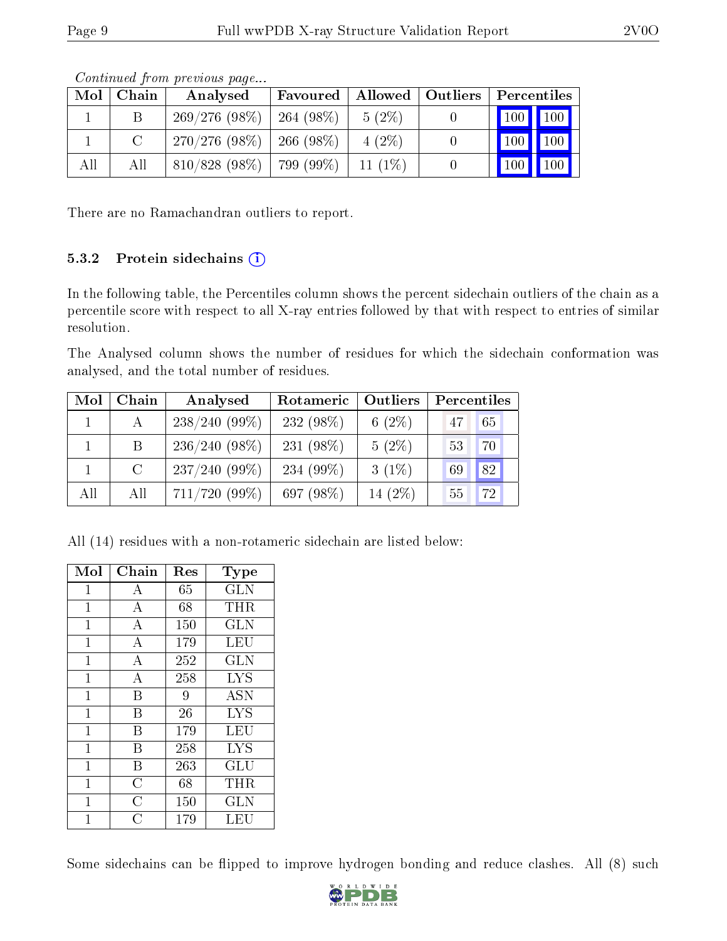| contentation provided page |       |                               |                               |           |  |             |                                 |  |  |  |
|----------------------------|-------|-------------------------------|-------------------------------|-----------|--|-------------|---------------------------------|--|--|--|
| Mol                        | Chain | Analysed                      | Favoured   Allowed   Outliers |           |  | Percentiles |                                 |  |  |  |
|                            |       | $269/276(98\%)$               | $\pm 264$ (98%)               | $5(2\%)$  |  |             | 100 100                         |  |  |  |
|                            |       | $270/276$ (98\%)   266 (98\%) |                               | $4(2\%)$  |  |             | $\vert$ 100 $\vert$ 100 $\vert$ |  |  |  |
| All                        | All   | $810/828$ (98\%)   799 (99\%) |                               | $11(1\%)$ |  | $\vert$ 100 | $\blacksquare$ 100              |  |  |  |

Continued from previous page...

There are no Ramachandran outliers to report.

#### 5.3.2 Protein sidechains  $(i)$

In the following table, the Percentiles column shows the percent sidechain outliers of the chain as a percentile score with respect to all X-ray entries followed by that with respect to entries of similar resolution.

The Analysed column shows the number of residues for which the sidechain conformation was analysed, and the total number of residues.

| Mol | Chain   | Analysed        | Outliers<br>Rotameric |            | Percentiles |  |  |
|-----|---------|-----------------|-----------------------|------------|-------------|--|--|
|     | A       | $238/240(99\%)$ | $232(98\%)$           | 6 $(2\%)$  | 65<br>47    |  |  |
|     | Β       | $236/240(98\%)$ | 231 $(98\%)$          | $5(2\%)$   | 53<br>70    |  |  |
|     | $\rm C$ | $237/240(99\%)$ | 234 $(99\%)$          | $3(1\%)$   | 82<br>69    |  |  |
| All | All     | $711/720$ (99%) | 697 (98%)             | 14 $(2\%)$ | 72<br>55    |  |  |

All (14) residues with a non-rotameric sidechain are listed below:

| Mol            | Chain              | Res | Type             |
|----------------|--------------------|-----|------------------|
| $\mathbf{1}$   | A                  | 65  | <b>GLN</b>       |
| $\overline{1}$ | $\overline{A}$     | 68  | THR              |
| $\mathbf{1}$   | $\boldsymbol{A}$   | 150 | <b>GLN</b>       |
| $\overline{1}$ | $\overline{A}$     | 179 | LEU              |
| $\overline{1}$ | $\boldsymbol{A}$   | 252 | <b>GLN</b>       |
| $\overline{1}$ | $\overline{\rm A}$ | 258 | <b>LYS</b>       |
| $\mathbf{1}$   | B                  | 9   | <b>ASN</b>       |
| $\mathbf{1}$   | B                  | 26  | $LY\overline{S}$ |
| $\mathbf{1}$   | B                  | 179 | LEU              |
| $\mathbf{1}$   | B                  | 258 | <b>LYS</b>       |
| $\mathbf{1}$   | B                  | 263 | GLU              |
| $\mathbf 1$    | $\overline{C}$     | 68  | THR              |
| 1              | $\overline{C}$     | 150 | GLN              |
| 1              | $\overline{C}$     | 179 | LEU              |

Some sidechains can be flipped to improve hydrogen bonding and reduce clashes. All (8) such

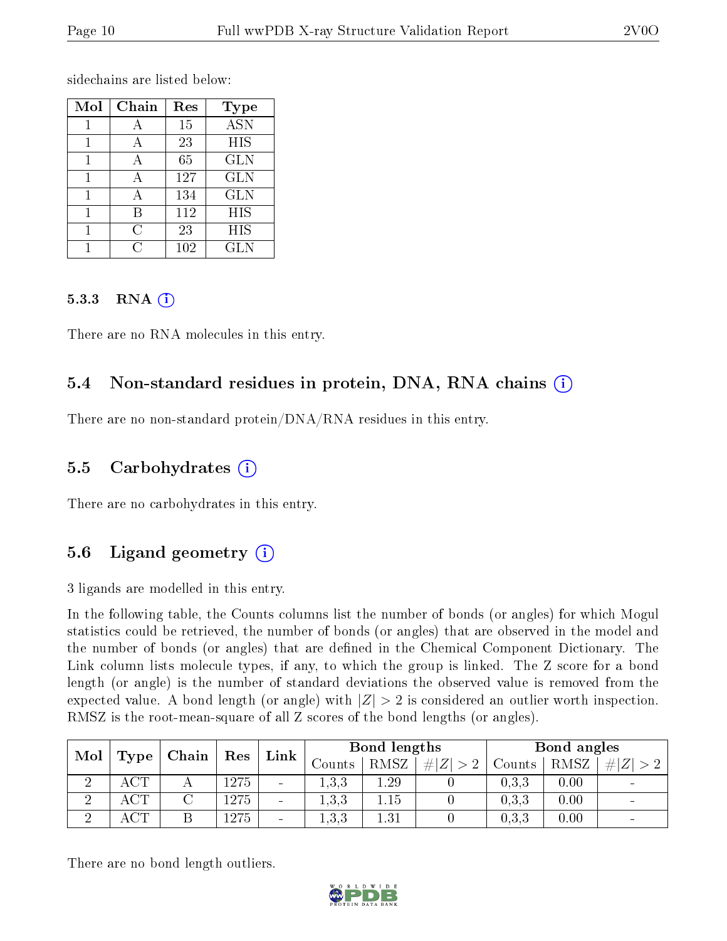sidechains are listed below:

| Mol | Chain | Res | <b>Type</b>               |
|-----|-------|-----|---------------------------|
|     |       | 15  | $\overline{\mathrm{ASN}}$ |
|     |       | 23  | HIS                       |
|     |       | 65  | <b>GLN</b>                |
|     | А     | 127 | <b>GLN</b>                |
|     |       | 134 | <b>GLN</b>                |
|     | R     | 112 | HIS                       |
|     | C     | 23  | HIS                       |
|     |       | 102 | <b>GLN</b>                |

#### 5.3.3 RNA (1)

There are no RNA molecules in this entry.

### 5.4 Non-standard residues in protein, DNA, RNA chains (i)

There are no non-standard protein/DNA/RNA residues in this entry.

#### 5.5 Carbohydrates (i)

There are no carbohydrates in this entry.

### 5.6 Ligand geometry  $(i)$

3 ligands are modelled in this entry.

In the following table, the Counts columns list the number of bonds (or angles) for which Mogul statistics could be retrieved, the number of bonds (or angles) that are observed in the model and the number of bonds (or angles) that are defined in the Chemical Component Dictionary. The Link column lists molecule types, if any, to which the group is linked. The Z score for a bond length (or angle) is the number of standard deviations the observed value is removed from the expected value. A bond length (or angle) with  $|Z| > 2$  is considered an outlier worth inspection. RMSZ is the root-mean-square of all Z scores of the bond lengths (or angles).

| Mol | Type       | Chain | Res  | Link                         | Bond lengths |            |        |       | Bond angles |  |
|-----|------------|-------|------|------------------------------|--------------|------------|--------|-------|-------------|--|
|     |            |       |      | Counts                       | RMSZ         | # Z <br>>2 | Counts | RMSZ  | H Z         |  |
|     |            |       | 1275 | $\overline{\phantom{a}}$     | 1,3,3        | 1.29       |        | 0.3.3 | 0.00        |  |
| ച   | <b>ACT</b> |       | 1275 | $\overline{\phantom{0}}$     | 1,3,3        | 1.15       |        | 0.3.3 | 0.00        |  |
| ച   | ACT        |       | 1275 | $\qquad \qquad \blacksquare$ | 1,3,3        | $1.31\,$   |        | 0.3.3 | 0.00        |  |

There are no bond length outliers.

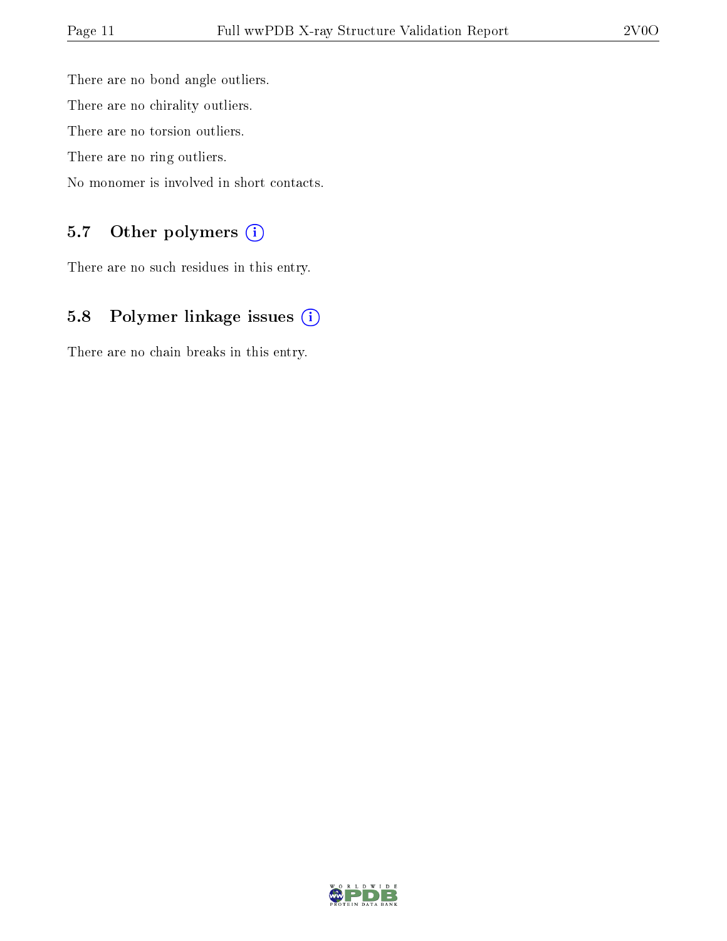There are no bond angle outliers. There are no chirality outliers. There are no torsion outliers. There are no ring outliers. No monomer is involved in short contacts.

### 5.7 [O](https://www.wwpdb.org/validation/2017/XrayValidationReportHelp#nonstandard_residues_and_ligands)ther polymers (i)

There are no such residues in this entry.

### 5.8 Polymer linkage issues (i)

There are no chain breaks in this entry.

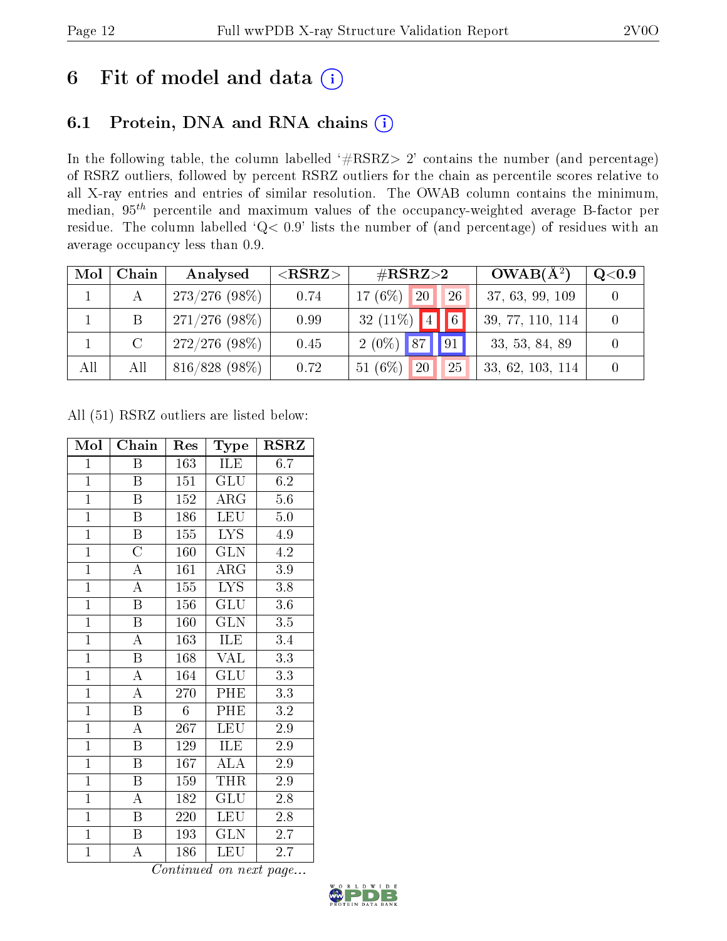## 6 Fit of model and data  $(i)$

### 6.1 Protein, DNA and RNA chains  $(i)$

In the following table, the column labelled  $#RSRZ> 2'$  contains the number (and percentage) of RSRZ outliers, followed by percent RSRZ outliers for the chain as percentile scores relative to all X-ray entries and entries of similar resolution. The OWAB column contains the minimum, median,  $95<sup>th</sup>$  percentile and maximum values of the occupancy-weighted average B-factor per residue. The column labelled ' $Q< 0.9$ ' lists the number of (and percentage) of residues with an average occupancy less than 0.9.

| Mol | Chain     | Analysed        | ${ <\hspace{-1.5pt}{\mathrm{RSRZ}} \hspace{-1.5pt}>}$ | $\#\text{RSRZ}\text{>2}$         | $OWAB(A^2)$      | $\rm Q\textcolor{black}{<}0.9$ |
|-----|-----------|-----------------|-------------------------------------------------------|----------------------------------|------------------|--------------------------------|
|     |           | $273/276(98\%)$ | 0.74                                                  | 17 $(6%)$<br>26<br><sup>20</sup> | 37, 63, 99, 109  |                                |
|     | B         | $271/276(98\%)$ | 0.99                                                  | $\boxed{6}$<br>32 $(11\%)$ 4     | 39, 77, 110, 114 |                                |
|     | $\bigcap$ | $272/276(98\%)$ | 0.45                                                  | 91 <br>$2(0\%)$ 87               | 33, 53, 84, 89   |                                |
| All | All       | 816/828 (98%)   | 0.72                                                  | 51 $(6\%)$<br>20<br>25           | 33, 62, 103, 114 |                                |

All (51) RSRZ outliers are listed below:

| Mol            | Chain                   | Res        | Type                    | <b>RSRZ</b>      |
|----------------|-------------------------|------------|-------------------------|------------------|
| $\mathbf{1}$   | B                       | 163        | ILE                     | 6.7              |
| $\mathbf{1}$   | B                       | 151        | <b>GLU</b>              | $6.\overline{2}$ |
| $\overline{1}$ | B                       | 152        | $\rm{ARG}$              | $5.6\,$          |
| $\overline{1}$ | $\overline{\mathrm{B}}$ | 186        | <b>LEU</b>              | $5.\overline{0}$ |
| $\overline{1}$ | $\boldsymbol{B}$        | 155        | <b>LYS</b>              | 4.9              |
| $\overline{1}$ | $\overline{\rm C}$      | 160        | $\overline{\text{GLN}}$ | $\overline{4.2}$ |
| $\overline{1}$ | A                       | 161        | $\rm{ARG}$              | $3.9\,$          |
| $\overline{1}$ | $\overline{\rm A}$      | 155        | <b>LYS</b>              | 3.8              |
| $\overline{1}$ | $\boldsymbol{B}$        | 156        | $\overline{\text{GLU}}$ | $3.6\,$          |
| $\overline{1}$ | Β                       | 160        | <b>GLN</b>              | 3.5              |
| $\overline{1}$ | $\overline{\rm A}$      | 163        | ILE                     | 3.4              |
| $\mathbf{1}$   | $\boldsymbol{B}$        | 168        | <b>VAL</b>              | 3.3              |
| $\overline{1}$ | $\boldsymbol{A}$        | 164        | <b>GLU</b>              | $\overline{3.3}$ |
| $\overline{1}$ | $\overline{\rm A}$      | 270        | PHE                     | 3.3              |
| $\overline{1}$ | $\boldsymbol{B}$        | $\sqrt{6}$ | PHE                     | 3.2              |
| $\overline{1}$ | $\overline{\rm A}$      | 267        | LEU                     | $\overline{2.9}$ |
| $\overline{1}$ | $\boldsymbol{B}$        | 129        | ILE                     | 2.9              |
| $\overline{1}$ | $\boldsymbol{B}$        | 167        | $\overline{\rm ALA}$    | $2.9\,$          |
| $\overline{1}$ | $\boldsymbol{B}$        | 159        | THR                     | $2.9\,$          |
| $\mathbf{1}$   | $\boldsymbol{A}$        | 182        | GLU                     | 2.8              |
| $\overline{1}$ | Β                       | 220        | LEU                     | $2.8\,$          |
| $\overline{1}$ | B                       | 193        | GLN                     | $2.\overline{7}$ |
| $\mathbf{1}$   | А                       | 186        | LEU                     | 2.7              |

Continued on next page...

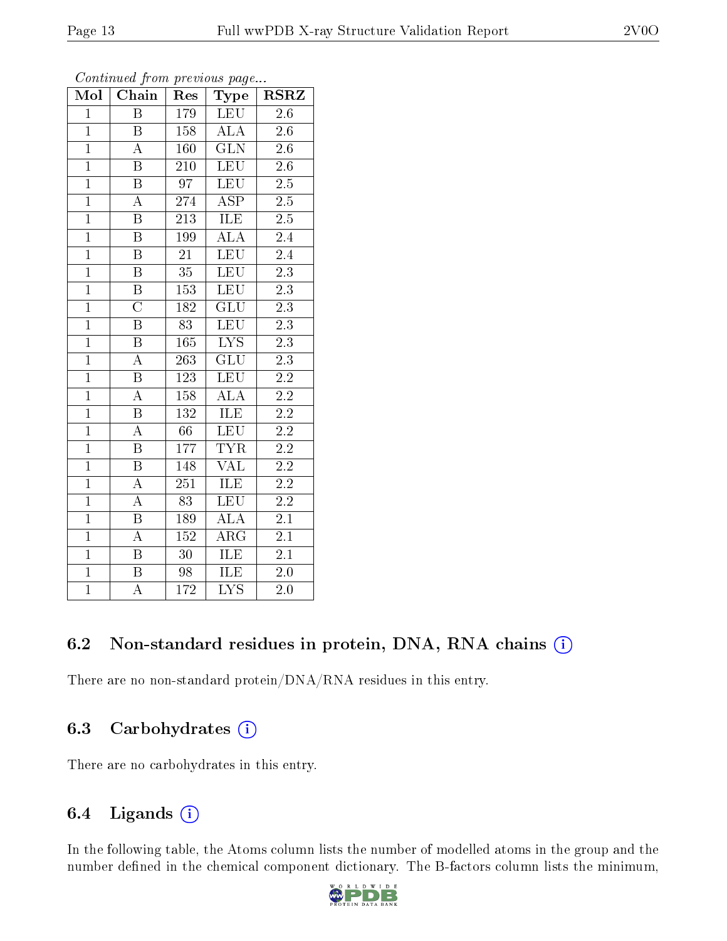| Mol            | Chain                   | Res              | Type                      | $_{\rm RSRZ}$    |
|----------------|-------------------------|------------------|---------------------------|------------------|
| $\mathbf{1}$   | $\overline{B}$          | <sup>179</sup>   | <b>LEU</b>                | 2.6              |
| $\overline{1}$ | $\, {\bf B}$            | 158              | ALA                       | 2.6              |
| $\overline{1}$ | $\overline{\rm A}$      | 160              | $\overline{\text{GLN}}$   | $\overline{2.6}$ |
| $\overline{1}$ | $\boldsymbol{B}$        | 210              | <b>LEU</b>                | $2.6\,$          |
| $\overline{1}$ | $\overline{\mathrm{B}}$ | $\overline{97}$  | LEU                       | $\overline{2.5}$ |
| $\mathbf{1}$   | $\boldsymbol{A}$        | 274              | <b>ASP</b>                | $2.5\,$          |
| $\overline{1}$ | $\boldsymbol{B}$        | 213              | ILE                       | $2.5\,$          |
| $\overline{1}$ | $\overline{\mathrm{B}}$ | 199              | <b>ALA</b>                | $\overline{2}.4$ |
| $\overline{1}$ | $\overline{\mathrm{B}}$ | $\overline{21}$  | LEU                       | 2.4              |
| $\overline{1}$ | $\overline{\mathrm{B}}$ | $\overline{35}$  | $\overline{\text{LEU}}$   | $\overline{2.3}$ |
| $\overline{1}$ | $\overline{\mathbf{B}}$ | $153\,$          | <b>LEU</b>                | $\overline{2.3}$ |
| $\overline{1}$ | $\overline{\rm C}$      | 182              | $\overline{\mathrm{GLU}}$ | $\overline{2.3}$ |
| $\overline{1}$ | $\overline{\mathrm{B}}$ | 83               | <b>LEU</b>                | $\overline{2.3}$ |
| $\overline{1}$ | $\, {\bf B}$            | 165              | $\overline{\text{LYS}}$   | $2.\overline{3}$ |
| $\overline{1}$ | $\overline{A}$          | $\overline{263}$ | $\overline{\mathrm{GLU}}$ | $\overline{2.3}$ |
| $\overline{1}$ | $\overline{\mathrm{B}}$ | 123              | <b>LEU</b>                | $\overline{2.2}$ |
| $\overline{1}$ | $\overline{\rm A}$      | 158              | $\overline{\text{ALA}}$   | $\overline{2.2}$ |
| $\overline{1}$ | $\overline{\mathbf{B}}$ | 132              | ILE                       | $\overline{2.2}$ |
| $\overline{1}$ | $\overline{\rm A}$      | 66               | LEU                       | $2.\overline{2}$ |
| $\overline{1}$ | $\overline{\mathrm{B}}$ | 177              | $\overline{\text{TYR}}$   | $\overline{2.2}$ |
| $\overline{1}$ | $\overline{\mathrm{B}}$ | 148              | <b>VAL</b>                | $2\overline{.2}$ |
| $\overline{1}$ | $\overline{A}$          | $\overline{251}$ | <b>ILE</b>                | $\overline{2.2}$ |
| $\overline{1}$ | A                       | 83               | $\overline{\text{LEU}}$   | $\overline{2.2}$ |
| $\overline{1}$ | $\overline{\mathrm{B}}$ | 189              | $\overline{\text{ALA}}$   | $\overline{2.1}$ |
| $\overline{1}$ | $\overline{\mathbf{A}}$ | $\overline{152}$ | $\overline{\rm ARG}$      | $\overline{2.1}$ |
| $\overline{1}$ | $\overline{\mathrm{B}}$ | 30               | ILE                       | 2.1              |
| $\overline{1}$ | $\overline{\mathrm{B}}$ | 98               | ILE                       | $2.0\,$          |
| $\overline{1}$ | A                       | 172              | $\overline{\text{LYS}}$   | 2.0              |

Continued from previous page...

### 6.2 Non-standard residues in protein, DNA, RNA chains (i)

There are no non-standard protein/DNA/RNA residues in this entry.

#### 6.3 Carbohydrates  $(i)$

There are no carbohydrates in this entry.

#### 6.4 Ligands (i)

In the following table, the Atoms column lists the number of modelled atoms in the group and the number defined in the chemical component dictionary. The B-factors column lists the minimum,